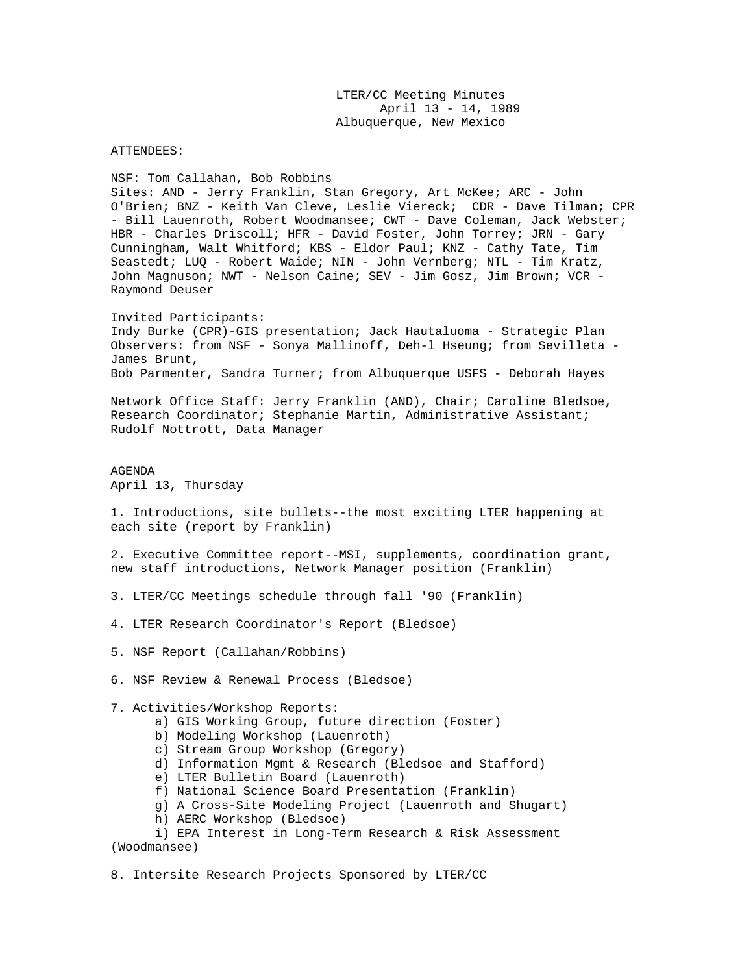LTER/CC Meeting Minutes April 13 - 14, 1989 Albuquerque, New Mexico

ATTENDEES:

NSF: Tom Callahan, Bob Robbins Sites: AND - Jerry Franklin, Stan Gregory, Art McKee; ARC - John O'Brien; BNZ - Keith Van Cleve, Leslie Viereck; CDR - Dave Tilman; CPR - Bill Lauenroth, Robert Woodmansee; CWT - Dave Coleman, Jack Webster; HBR - Charles Driscoll; HFR - David Foster, John Torrey; JRN - Gary Cunningham, Walt Whitford; KBS - Eldor Paul; KNZ - Cathy Tate, Tim Seastedt; LUQ - Robert Waide; NIN - John Vernberg; NTL - Tim Kratz, John Magnuson; NWT - Nelson Caine; SEV - Jim Gosz, Jim Brown; VCR - Raymond Deuser

Invited Participants: Indy Burke (CPR)-GIS presentation; Jack Hautaluoma - Strategic Plan Observers: from NSF - Sonya Mallinoff, Deh-l Hseung; from Sevilleta - James Brunt, Bob Parmenter, Sandra Turner; from Albuquerque USFS - Deborah Hayes

Network Office Staff: Jerry Franklin (AND), Chair; Caroline Bledsoe, Research Coordinator; Stephanie Martin, Administrative Assistant; Rudolf Nottrott, Data Manager

AGENDA April 13, Thursday

1. Introductions, site bullets--the most exciting LTER happening at each site (report by Franklin)

2. Executive Committee report--MSI, supplements, coordination grant, new staff introductions, Network Manager position (Franklin)

- 3. LTER/CC Meetings schedule through fall '90 (Franklin)
- 4. LTER Research Coordinator's Report (Bledsoe)
- 5. NSF Report (Callahan/Robbins)
- 6. NSF Review & Renewal Process (Bledsoe)

7. Activities/Workshop Reports:

- a) GIS Working Group, future direction (Foster)
- b) Modeling Workshop (Lauenroth)
- c) Stream Group Workshop (Gregory)
- d) Information Mgmt & Research (Bledsoe and Stafford)
- e) LTER Bulletin Board (Lauenroth)
- f) National Science Board Presentation (Franklin)
- g) A Cross-Site Modeling Project (Lauenroth and Shugart)
- h) AERC Workshop (Bledsoe)

 i) EPA Interest in Long-Term Research & Risk Assessment (Woodmansee)

8. Intersite Research Projects Sponsored by LTER/CC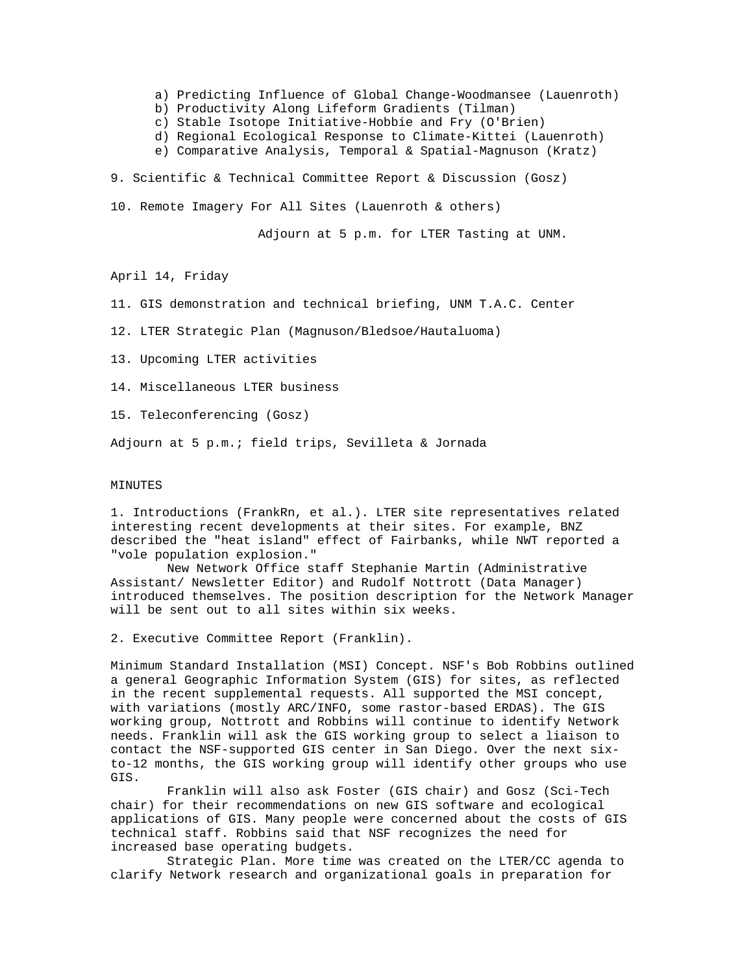a) Predicting Influence of Global Change-Woodmansee (Lauenroth)

- b) Productivity Along Lifeform Gradients (Tilman)
- c) Stable Isotope Initiative-Hobbie and Fry (O'Brien)
- d) Regional Ecological Response to Climate-Kittei (Lauenroth)
- e) Comparative Analysis, Temporal & Spatial-Magnuson (Kratz)

9. Scientific & Technical Committee Report & Discussion (Gosz)

10. Remote Imagery For All Sites (Lauenroth & others)

Adjourn at 5 p.m. for LTER Tasting at UNM.

April 14, Friday

11. GIS demonstration and technical briefing, UNM T.A.C. Center

12. LTER Strategic Plan (Magnuson/Bledsoe/Hautaluoma)

13. Upcoming LTER activities

14. Miscellaneous LTER business

15. Teleconferencing (Gosz)

Adjourn at 5 p.m.; field trips, Sevilleta & Jornada

## MINUTES

1. Introductions (FrankRn, et al.). LTER site representatives related interesting recent developments at their sites. For example, BNZ described the "heat island" effect of Fairbanks, while NWT reported a "vole population explosion."

New Network Office staff Stephanie Martin (Administrative Assistant/ Newsletter Editor) and Rudolf Nottrott (Data Manager) introduced themselves. The position description for the Network Manager will be sent out to all sites within six weeks.

2. Executive Committee Report (Franklin).

Minimum Standard Installation (MSI) Concept. NSF's Bob Robbins outlined a general Geographic Information System (GIS) for sites, as reflected in the recent supplemental requests. All supported the MSI concept, with variations (mostly ARC/INFO, some rastor-based ERDAS). The GIS working group, Nottrott and Robbins will continue to identify Network needs. Franklin will ask the GIS working group to select a liaison to contact the NSF-supported GIS center in San Diego. Over the next sixto-12 months, the GIS working group will identify other groups who use GIS.

Franklin will also ask Foster (GIS chair) and Gosz (Sci-Tech chair) for their recommendations on new GIS software and ecological applications of GIS. Many people were concerned about the costs of GIS technical staff. Robbins said that NSF recognizes the need for increased base operating budgets.

Strategic Plan. More time was created on the LTER/CC agenda to clarify Network research and organizational goals in preparation for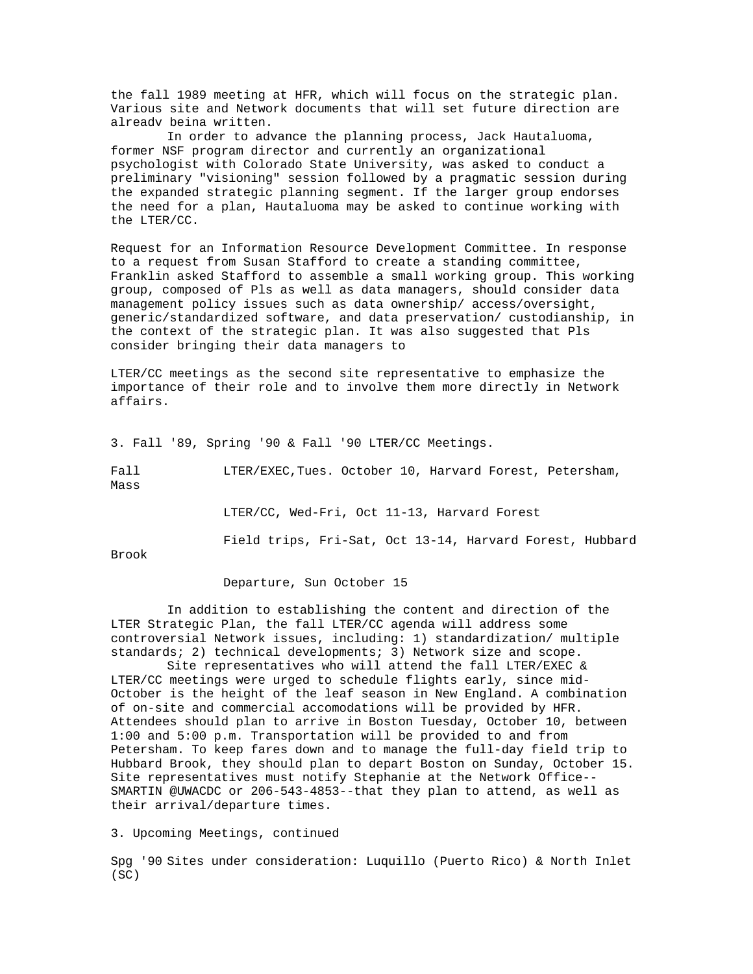the fall 1989 meeting at HFR, which will focus on the strategic plan. Various site and Network documents that will set future direction are alreadv beina written.

In order to advance the planning process, Jack Hautaluoma, former NSF program director and currently an organizational psychologist with Colorado State University, was asked to conduct a preliminary "visioning" session followed by a pragmatic session during the expanded strategic planning segment. If the larger group endorses the need for a plan, Hautaluoma may be asked to continue working with the LTER/CC.

Request for an Information Resource Development Committee. In response to a request from Susan Stafford to create a standing committee, Franklin asked Stafford to assemble a small working group. This working group, composed of Pls as well as data managers, should consider data management policy issues such as data ownership/ access/oversight, generic/standardized software, and data preservation/ custodianship, in the context of the strategic plan. It was also suggested that Pls consider bringing their data managers to

LTER/CC meetings as the second site representative to emphasize the importance of their role and to involve them more directly in Network affairs.

3. Fall '89, Spring '90 & Fall '90 LTER/CC Meetings.

Fall  $LTER/EXEC, Tuesday$  October 10, Harvard Forest, Petersham, Mass

LTER/CC, Wed-Fri, Oct 11-13, Harvard Forest

Field trips, Fri-Sat, Oct 13-14, Harvard Forest, Hubbard

Brook

Departure, Sun October 15

In addition to establishing the content and direction of the LTER Strategic Plan, the fall LTER/CC agenda will address some controversial Network issues, including: 1) standardization/ multiple standards; 2) technical developments; 3) Network size and scope.

Site representatives who will attend the fall LTER/EXEC & LTER/CC meetings were urged to schedule flights early, since mid-October is the height of the leaf season in New England. A combination of on-site and commercial accomodations will be provided by HFR. Attendees should plan to arrive in Boston Tuesday, October 10, between 1:00 and 5:00 p.m. Transportation will be provided to and from Petersham. To keep fares down and to manage the full-day field trip to Hubbard Brook, they should plan to depart Boston on Sunday, October 15. Site representatives must notify Stephanie at the Network Office-- SMARTIN @UWACDC or 206-543-4853--that they plan to attend, as well as their arrival/departure times.

3. Upcoming Meetings, continued

Spg '90 Sites under consideration: Luquillo (Puerto Rico) & North Inlet (SC)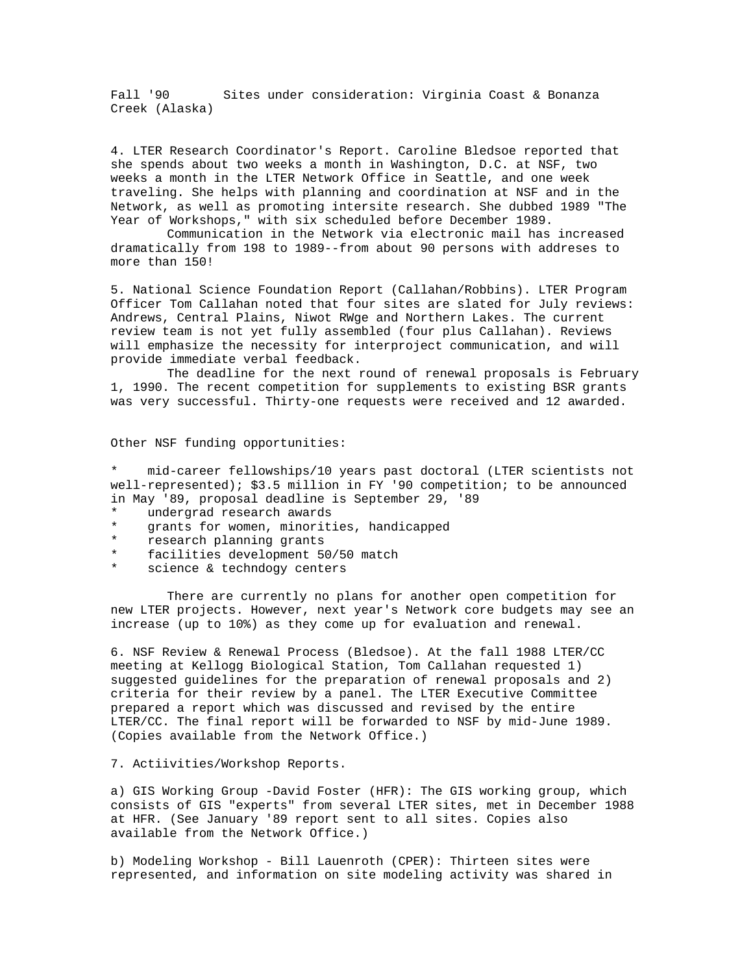Fall '90 Sites under consideration: Virginia Coast & Bonanza Creek (Alaska)

4. LTER Research Coordinator's Report. Caroline Bledsoe reported that she spends about two weeks a month in Washington, D.C. at NSF, two weeks a month in the LTER Network Office in Seattle, and one week traveling. She helps with planning and coordination at NSF and in the Network, as well as promoting intersite research. She dubbed 1989 "The Year of Workshops," with six scheduled before December 1989.

Communication in the Network via electronic mail has increased dramatically from 198 to 1989--from about 90 persons with addreses to more than 150!

5. National Science Foundation Report (Callahan/Robbins). LTER Program Officer Tom Callahan noted that four sites are slated for July reviews: Andrews, Central Plains, Niwot RWge and Northern Lakes. The current review team is not yet fully assembled (four plus Callahan). Reviews will emphasize the necessity for interproject communication, and will provide immediate verbal feedback.

The deadline for the next round of renewal proposals is February 1, 1990. The recent competition for supplements to existing BSR grants was very successful. Thirty-one requests were received and 12 awarded.

Other NSF funding opportunities:

mid-career fellowships/10 years past doctoral (LTER scientists not well-represented); \$3.5 million in FY '90 competition; to be announced in May '89, proposal deadline is September 29, '89

- \* undergrad research awards
- grants for women, minorities, handicapped
- \* research planning grants<br>\* facilities development 5
- facilities development 50/50 match
- science & techndogy centers

There are currently no plans for another open competition for new LTER projects. However, next year's Network core budgets may see an increase (up to 10%) as they come up for evaluation and renewal.

6. NSF Review & Renewal Process (Bledsoe). At the fall 1988 LTER/CC meeting at Kellogg Biological Station, Tom Callahan requested 1) suggested guidelines for the preparation of renewal proposals and 2) criteria for their review by a panel. The LTER Executive Committee prepared a report which was discussed and revised by the entire LTER/CC. The final report will be forwarded to NSF by mid-June 1989. (Copies available from the Network Office.)

## 7. Actiivities/Workshop Reports.

a) GIS Working Group -David Foster (HFR): The GIS working group, which consists of GIS "experts" from several LTER sites, met in December 1988 at HFR. (See January '89 report sent to all sites. Copies also available from the Network Office.)

b) Modeling Workshop - Bill Lauenroth (CPER): Thirteen sites were represented, and information on site modeling activity was shared in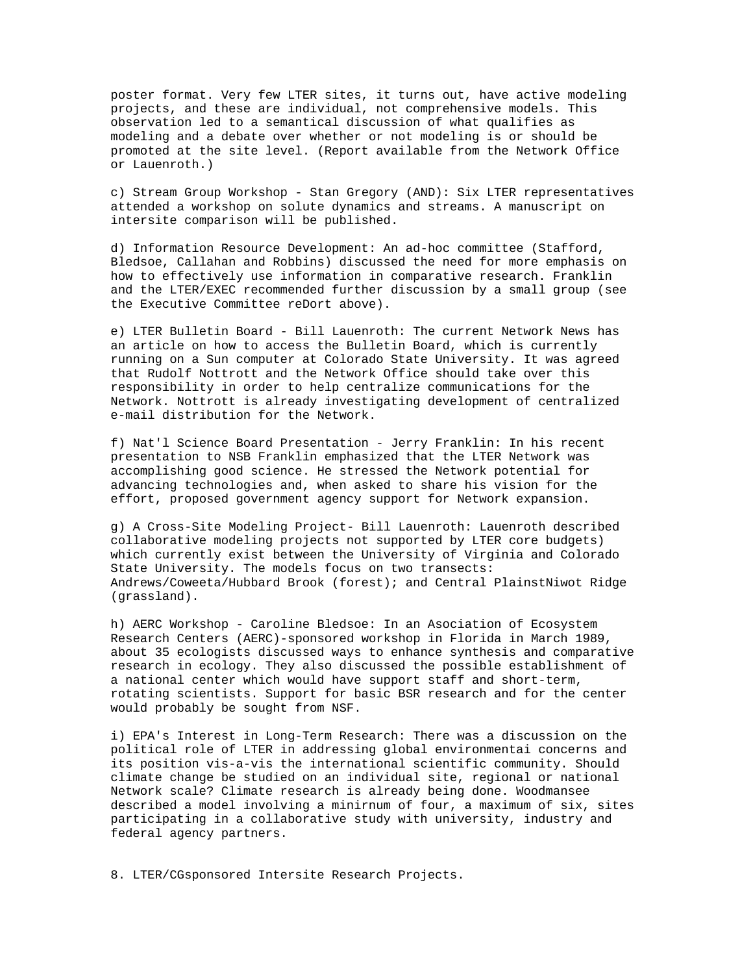poster format. Very few LTER sites, it turns out, have active modeling projects, and these are individual, not comprehensive models. This observation led to a semantical discussion of what qualifies as modeling and a debate over whether or not modeling is or should be promoted at the site level. (Report available from the Network Office or Lauenroth.)

c) Stream Group Workshop - Stan Gregory (AND): Six LTER representatives attended a workshop on solute dynamics and streams. A manuscript on intersite comparison will be published.

d) Information Resource Development: An ad-hoc committee (Stafford, Bledsoe, Callahan and Robbins) discussed the need for more emphasis on how to effectively use information in comparative research. Franklin and the LTER/EXEC recommended further discussion by a small group (see the Executive Committee reDort above).

e) LTER Bulletin Board - Bill Lauenroth: The current Network News has an article on how to access the Bulletin Board, which is currently running on a Sun computer at Colorado State University. It was agreed that Rudolf Nottrott and the Network Office should take over this responsibility in order to help centralize communications for the Network. Nottrott is already investigating development of centralized e-mail distribution for the Network.

f) Nat'l Science Board Presentation - Jerry Franklin: In his recent presentation to NSB Franklin emphasized that the LTER Network was accomplishing good science. He stressed the Network potential for advancing technologies and, when asked to share his vision for the effort, proposed government agency support for Network expansion.

g) A Cross-Site Modeling Project- Bill Lauenroth: Lauenroth described collaborative modeling projects not supported by LTER core budgets) which currently exist between the University of Virginia and Colorado State University. The models focus on two transects: Andrews/Coweeta/Hubbard Brook (forest); and Central PlainstNiwot Ridge (grassland).

h) AERC Workshop - Caroline Bledsoe: In an Asociation of Ecosystem Research Centers (AERC)-sponsored workshop in Florida in March 1989, about 35 ecologists discussed ways to enhance synthesis and comparative research in ecology. They also discussed the possible establishment of a national center which would have support staff and short-term, rotating scientists. Support for basic BSR research and for the center would probably be sought from NSF.

i) EPA's Interest in Long-Term Research: There was a discussion on the political role of LTER in addressing global environmentai concerns and its position vis-a-vis the international scientific community. Should climate change be studied on an individual site, regional or national Network scale? Climate research is already being done. Woodmansee described a model involving a minirnum of four, a maximum of six, sites participating in a collaborative study with university, industry and federal agency partners.

8. LTER/CGsponsored Intersite Research Projects.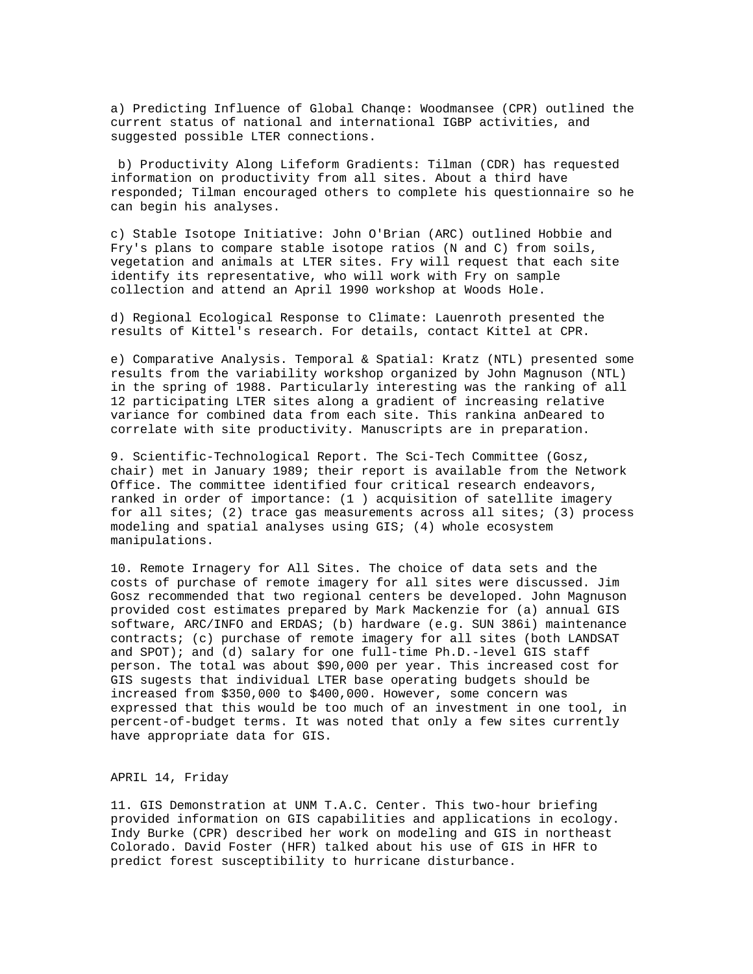a) Predicting Influence of Global Chanqe: Woodmansee (CPR) outlined the current status of national and international IGBP activities, and suggested possible LTER connections.

b) Productivity Along Lifeform Gradients: Tilman (CDR) has requested information on productivity from all sites. About a third have responded; Tilman encouraged others to complete his questionnaire so he can begin his analyses.

c) Stable Isotope Initiative: John O'Brian (ARC) outlined Hobbie and Fry's plans to compare stable isotope ratios (N and C) from soils, vegetation and animals at LTER sites. Fry will request that each site identify its representative, who will work with Fry on sample collection and attend an April 1990 workshop at Woods Hole.

d) Regional Ecological Response to Climate: Lauenroth presented the results of Kittel's research. For details, contact Kittel at CPR.

e) Comparative Analysis. Temporal & Spatial: Kratz (NTL) presented some results from the variability workshop organized by John Magnuson (NTL) in the spring of 1988. Particularly interesting was the ranking of all 12 participating LTER sites along a gradient of increasing relative variance for combined data from each site. This rankina anDeared to correlate with site productivity. Manuscripts are in preparation.

9. Scientific-Technological Report. The Sci-Tech Committee (Gosz, chair) met in January 1989; their report is available from the Network Office. The committee identified four critical research endeavors, ranked in order of importance: (1 ) acquisition of satellite imagery for all sites; (2) trace gas measurements across all sites; (3) process modeling and spatial analyses using GIS; (4) whole ecosystem manipulations.

10. Remote Irnagery for All Sites. The choice of data sets and the costs of purchase of remote imagery for all sites were discussed. Jim Gosz recommended that two regional centers be developed. John Magnuson provided cost estimates prepared by Mark Mackenzie for (a) annual GIS software, ARC/INFO and ERDAS; (b) hardware (e.g. SUN 386i) maintenance contracts; (c) purchase of remote imagery for all sites (both LANDSAT and SPOT); and (d) salary for one full-time Ph.D.-level GIS staff person. The total was about \$90,000 per year. This increased cost for GIS sugests that individual LTER base operating budgets should be increased from \$350,000 to \$400,000. However, some concern was expressed that this would be too much of an investment in one tool, in percent-of-budget terms. It was noted that only a few sites currently have appropriate data for GIS.

## APRIL 14, Friday

11. GIS Demonstration at UNM T.A.C. Center. This two-hour briefing provided information on GIS capabilities and applications in ecology. Indy Burke (CPR) described her work on modeling and GIS in northeast Colorado. David Foster (HFR) talked about his use of GIS in HFR to predict forest susceptibility to hurricane disturbance.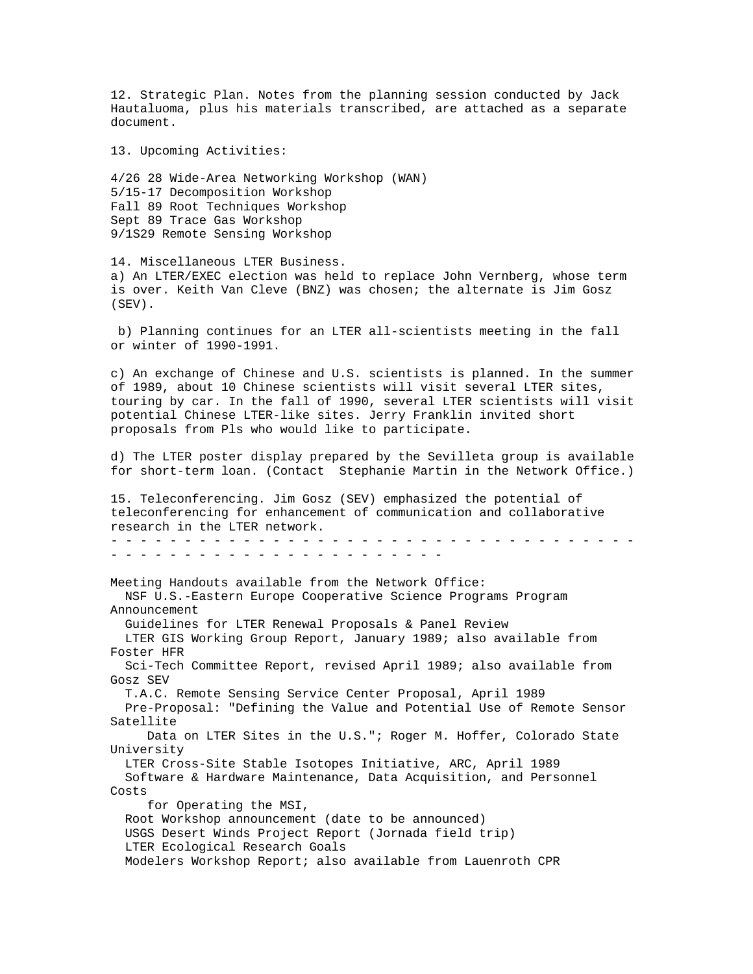12. Strategic Plan. Notes from the planning session conducted by Jack Hautaluoma, plus his materials transcribed, are attached as a separate document.

13. Upcoming Activities:

4/26 28 Wide-Area Networking Workshop (WAN) 5/15-17 Decomposition Workshop Fall 89 Root Techniques Workshop Sept 89 Trace Gas Workshop 9/1S29 Remote Sensing Workshop

14. Miscellaneous LTER Business. a) An LTER/EXEC election was held to replace John Vernberg, whose term is over. Keith Van Cleve (BNZ) was chosen; the alternate is Jim Gosz (SEV).

b) Planning continues for an LTER all-scientists meeting in the fall or winter of 1990-1991.

c) An exchange of Chinese and U.S. scientists is planned. In the summer of 1989, about 10 Chinese scientists will visit several LTER sites, touring by car. In the fall of 1990, several LTER scientists will visit potential Chinese LTER-like sites. Jerry Franklin invited short proposals from Pls who would like to participate.

d) The LTER poster display prepared by the Sevilleta group is available for short-term loan. (Contact Stephanie Martin in the Network Office.)

15. Teleconferencing. Jim Gosz (SEV) emphasized the potential of teleconferencing for enhancement of communication and collaborative research in the LTER network. - - - - - - - - - - - - - - - - - - - - - - - - - - - - - - - - - - - - - - - - - - - - - - - - - - - - - - - - - - -

Meeting Handouts available from the Network Office: NSF U.S.-Eastern Europe Cooperative Science Programs Program Announcement Guidelines for LTER Renewal Proposals & Panel Review LTER GIS Working Group Report, January 1989; also available from Foster HFR Sci-Tech Committee Report, revised April 1989; also available from Gosz SEV T.A.C. Remote Sensing Service Center Proposal, April 1989 Pre-Proposal: "Defining the Value and Potential Use of Remote Sensor Satellite Data on LTER Sites in the U.S."; Roger M. Hoffer, Colorado State University LTER Cross-Site Stable Isotopes Initiative, ARC, April 1989 Software & Hardware Maintenance, Data Acquisition, and Personnel Costs for Operating the MSI, Root Workshop announcement (date to be announced) USGS Desert Winds Project Report (Jornada field trip) LTER Ecological Research Goals Modelers Workshop Report; also available from Lauenroth CPR